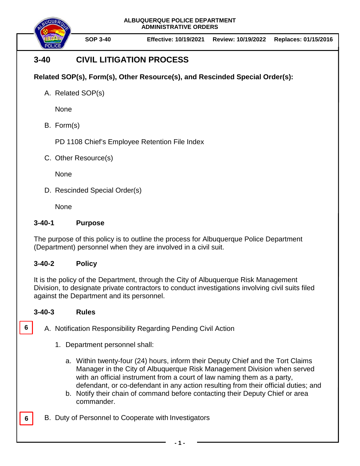**ALBUQUERQUE POLICE DEPARTMENT ADMINISTRATIVE ORDERS**



**SOP 3-40 Effective: 10/19/2021 Review: 10/19/2022 Replaces: 01/15/2016**

# **3-40 CIVIL LITIGATION PROCESS**

## **Related SOP(s), Form(s), Other Resource(s), and Rescinded Special Order(s):**

A. Related SOP(s)

None

B. Form(s)

PD 1108 Chief's Employee Retention File Index

C. Other Resource(s)

**None** 

D. Rescinded Special Order(s)

None

### **3-40-1 Purpose**

The purpose of this policy is to outline the process for Albuquerque Police Department (Department) personnel when they are involved in a civil suit.

### **3-40-2 Policy**

It is the policy of the Department, through the City of Albuquerque Risk Management Division, to designate private contractors to conduct investigations involving civil suits filed against the Department and its personnel.

### **3-40-3 Rules**

**6**

**6**

A. Notification Responsibility Regarding Pending Civil Action

- 1. Department personnel shall:
	- a. Within twenty-four (24) hours, inform their Deputy Chief and the Tort Claims Manager in the City of Albuquerque Risk Management Division when served with an official instrument from a court of law naming them as a party, defendant, or co-defendant in any action resulting from their official duties; and
	- b. Notify their chain of command before contacting their Deputy Chief or area commander.
- B. Duty of Personnel to Cooperate with Investigators